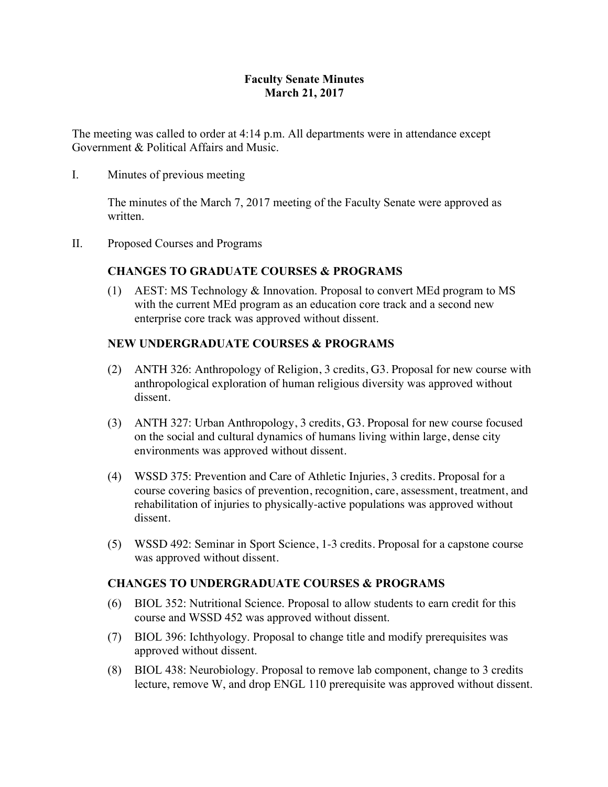# **Faculty Senate Minutes March 21, 2017**

The meeting was called to order at 4:14 p.m. All departments were in attendance except Government & Political Affairs and Music.

I. Minutes of previous meeting

The minutes of the March 7, 2017 meeting of the Faculty Senate were approved as written.

II. Proposed Courses and Programs

# **CHANGES TO GRADUATE COURSES & PROGRAMS**

(1) AEST: MS Technology & Innovation. Proposal to convert MEd program to MS with the current MEd program as an education core track and a second new enterprise core track was approved without dissent.

# **NEW UNDERGRADUATE COURSES & PROGRAMS**

- (2) ANTH 326: Anthropology of Religion, 3 credits, G3. Proposal for new course with anthropological exploration of human religious diversity was approved without dissent.
- (3) ANTH 327: Urban Anthropology, 3 credits, G3. Proposal for new course focused on the social and cultural dynamics of humans living within large, dense city environments was approved without dissent.
- (4) WSSD 375: Prevention and Care of Athletic Injuries, 3 credits. Proposal for a course covering basics of prevention, recognition, care, assessment, treatment, and rehabilitation of injuries to physically-active populations was approved without dissent.
- (5) WSSD 492: Seminar in Sport Science, 1-3 credits. Proposal for a capstone course was approved without dissent.

# **CHANGES TO UNDERGRADUATE COURSES & PROGRAMS**

- (6) BIOL 352: Nutritional Science. Proposal to allow students to earn credit for this course and WSSD 452 was approved without dissent.
- (7) BIOL 396: Ichthyology. Proposal to change title and modify prerequisites was approved without dissent.
- (8) BIOL 438: Neurobiology. Proposal to remove lab component, change to 3 credits lecture, remove W, and drop ENGL 110 prerequisite was approved without dissent.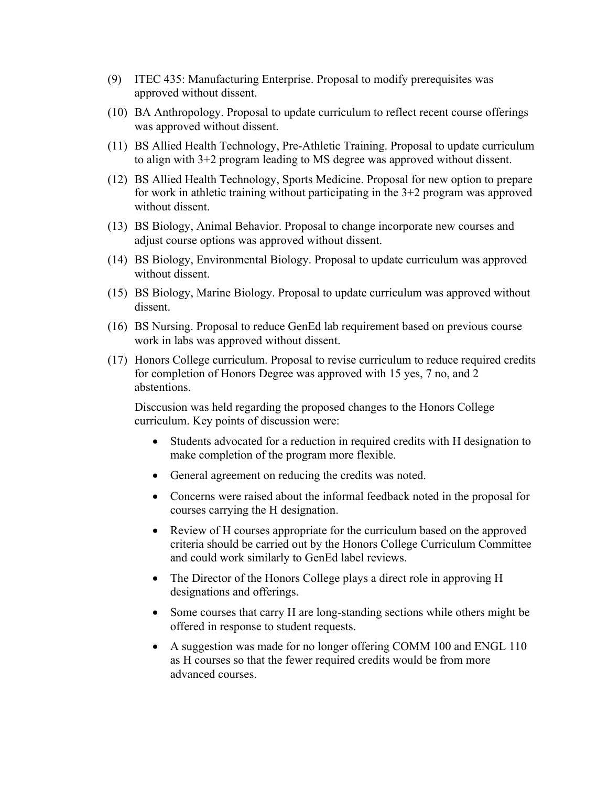- (9) ITEC 435: Manufacturing Enterprise. Proposal to modify prerequisites was approved without dissent.
- (10) BA Anthropology. Proposal to update curriculum to reflect recent course offerings was approved without dissent.
- (11) BS Allied Health Technology, Pre-Athletic Training. Proposal to update curriculum to align with 3+2 program leading to MS degree was approved without dissent.
- (12) BS Allied Health Technology, Sports Medicine. Proposal for new option to prepare for work in athletic training without participating in the 3+2 program was approved without dissent.
- (13) BS Biology, Animal Behavior. Proposal to change incorporate new courses and adjust course options was approved without dissent.
- (14) BS Biology, Environmental Biology. Proposal to update curriculum was approved without dissent.
- (15) BS Biology, Marine Biology. Proposal to update curriculum was approved without dissent.
- (16) BS Nursing. Proposal to reduce GenEd lab requirement based on previous course work in labs was approved without dissent.
- (17) Honors College curriculum. Proposal to revise curriculum to reduce required credits for completion of Honors Degree was approved with 15 yes, 7 no, and 2 abstentions.

Disccusion was held regarding the proposed changes to the Honors College curriculum. Key points of discussion were:

- Students advocated for a reduction in required credits with H designation to make completion of the program more flexible.
- General agreement on reducing the credits was noted.
- Concerns were raised about the informal feedback noted in the proposal for courses carrying the H designation.
- Review of H courses appropriate for the curriculum based on the approved criteria should be carried out by the Honors College Curriculum Committee and could work similarly to GenEd label reviews.
- The Director of the Honors College plays a direct role in approving H designations and offerings.
- Some courses that carry H are long-standing sections while others might be offered in response to student requests.
- A suggestion was made for no longer offering COMM 100 and ENGL 110 as H courses so that the fewer required credits would be from more advanced courses.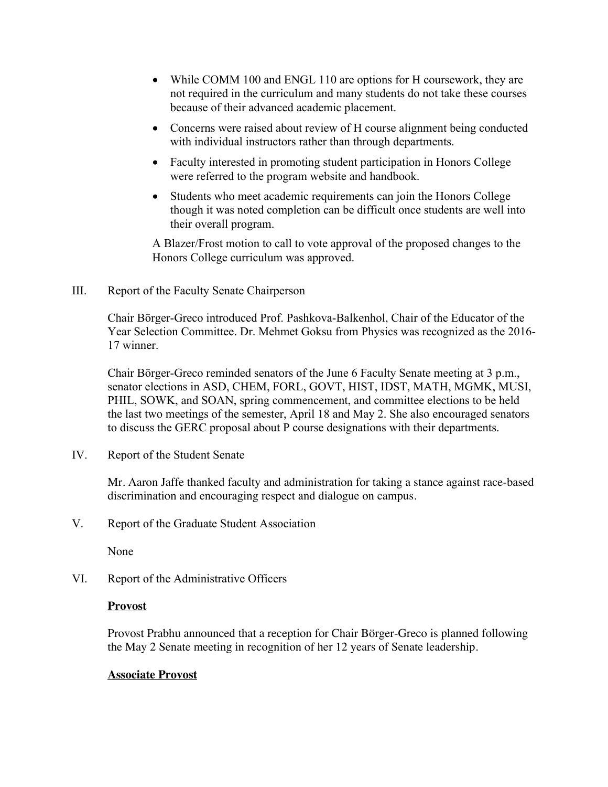- While COMM 100 and ENGL 110 are options for H coursework, they are not required in the curriculum and many students do not take these courses because of their advanced academic placement.
- Concerns were raised about review of H course alignment being conducted with individual instructors rather than through departments.
- Faculty interested in promoting student participation in Honors College were referred to the program website and handbook.
- Students who meet academic requirements can join the Honors College though it was noted completion can be difficult once students are well into their overall program.

A Blazer/Frost motion to call to vote approval of the proposed changes to the Honors College curriculum was approved.

III. Report of the Faculty Senate Chairperson

Chair Börger-Greco introduced Prof. Pashkova-Balkenhol, Chair of the Educator of the Year Selection Committee. Dr. Mehmet Goksu from Physics was recognized as the 2016- 17 winner.

Chair Börger-Greco reminded senators of the June 6 Faculty Senate meeting at 3 p.m., senator elections in ASD, CHEM, FORL, GOVT, HIST, IDST, MATH, MGMK, MUSI, PHIL, SOWK, and SOAN, spring commencement, and committee elections to be held the last two meetings of the semester, April 18 and May 2. She also encouraged senators to discuss the GERC proposal about P course designations with their departments.

IV. Report of the Student Senate

Mr. Aaron Jaffe thanked faculty and administration for taking a stance against race-based discrimination and encouraging respect and dialogue on campus.

V. Report of the Graduate Student Association

None

VI. Report of the Administrative Officers

### **Provost**

Provost Prabhu announced that a reception for Chair Börger-Greco is planned following the May 2 Senate meeting in recognition of her 12 years of Senate leadership.

### **Associate Provost**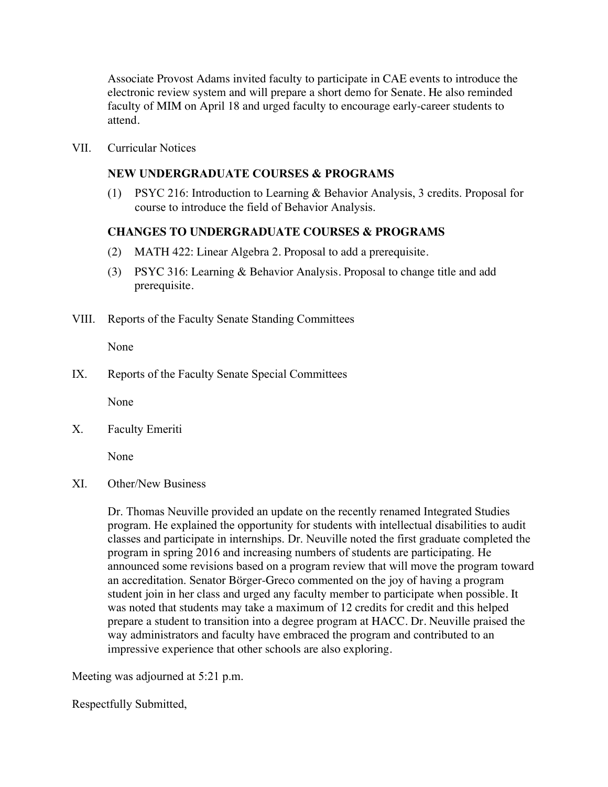Associate Provost Adams invited faculty to participate in CAE events to introduce the electronic review system and will prepare a short demo for Senate. He also reminded faculty of MIM on April 18 and urged faculty to encourage early-career students to attend.

VII. Curricular Notices

#### **NEW UNDERGRADUATE COURSES & PROGRAMS**

(1) PSYC 216: Introduction to Learning & Behavior Analysis, 3 credits. Proposal for course to introduce the field of Behavior Analysis.

#### **CHANGES TO UNDERGRADUATE COURSES & PROGRAMS**

- (2) MATH 422: Linear Algebra 2. Proposal to add a prerequisite.
- (3) PSYC 316: Learning & Behavior Analysis. Proposal to change title and add prerequisite.
- VIII. Reports of the Faculty Senate Standing Committees

None

IX. Reports of the Faculty Senate Special Committees

None

X. Faculty Emeriti

None

XI. Other/New Business

Dr. Thomas Neuville provided an update on the recently renamed Integrated Studies program. He explained the opportunity for students with intellectual disabilities to audit classes and participate in internships. Dr. Neuville noted the first graduate completed the program in spring 2016 and increasing numbers of students are participating. He announced some revisions based on a program review that will move the program toward an accreditation. Senator Börger-Greco commented on the joy of having a program student join in her class and urged any faculty member to participate when possible. It was noted that students may take a maximum of 12 credits for credit and this helped prepare a student to transition into a degree program at HACC. Dr. Neuville praised the way administrators and faculty have embraced the program and contributed to an impressive experience that other schools are also exploring.

Meeting was adjourned at 5:21 p.m.

Respectfully Submitted,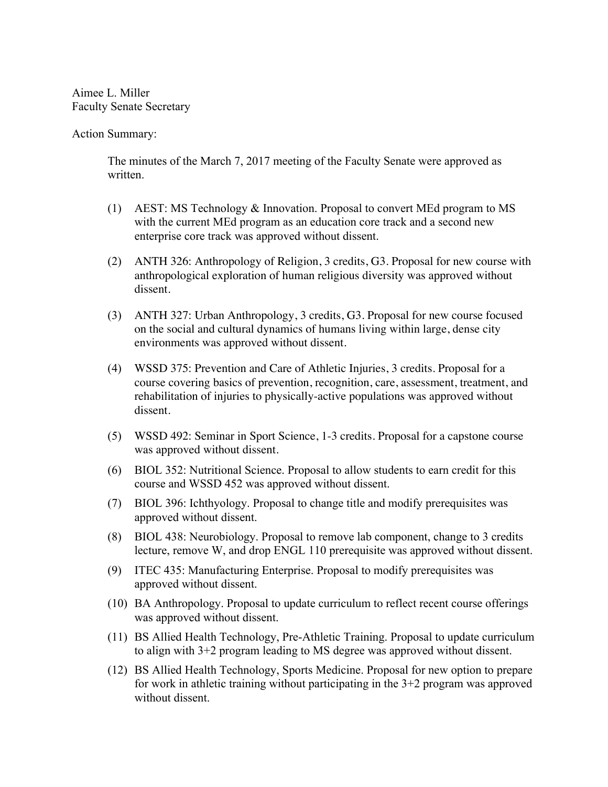Aimee L. Miller Faculty Senate Secretary

Action Summary:

The minutes of the March 7, 2017 meeting of the Faculty Senate were approved as written.

- (1) AEST: MS Technology & Innovation. Proposal to convert MEd program to MS with the current MEd program as an education core track and a second new enterprise core track was approved without dissent.
- (2) ANTH 326: Anthropology of Religion, 3 credits, G3. Proposal for new course with anthropological exploration of human religious diversity was approved without dissent.
- (3) ANTH 327: Urban Anthropology, 3 credits, G3. Proposal for new course focused on the social and cultural dynamics of humans living within large, dense city environments was approved without dissent.
- (4) WSSD 375: Prevention and Care of Athletic Injuries, 3 credits. Proposal for a course covering basics of prevention, recognition, care, assessment, treatment, and rehabilitation of injuries to physically-active populations was approved without dissent.
- (5) WSSD 492: Seminar in Sport Science, 1-3 credits. Proposal for a capstone course was approved without dissent.
- (6) BIOL 352: Nutritional Science. Proposal to allow students to earn credit for this course and WSSD 452 was approved without dissent.
- (7) BIOL 396: Ichthyology. Proposal to change title and modify prerequisites was approved without dissent.
- (8) BIOL 438: Neurobiology. Proposal to remove lab component, change to 3 credits lecture, remove W, and drop ENGL 110 prerequisite was approved without dissent.
- (9) ITEC 435: Manufacturing Enterprise. Proposal to modify prerequisites was approved without dissent.
- (10) BA Anthropology. Proposal to update curriculum to reflect recent course offerings was approved without dissent.
- (11) BS Allied Health Technology, Pre-Athletic Training. Proposal to update curriculum to align with 3+2 program leading to MS degree was approved without dissent.
- (12) BS Allied Health Technology, Sports Medicine. Proposal for new option to prepare for work in athletic training without participating in the  $3+2$  program was approved without dissent.